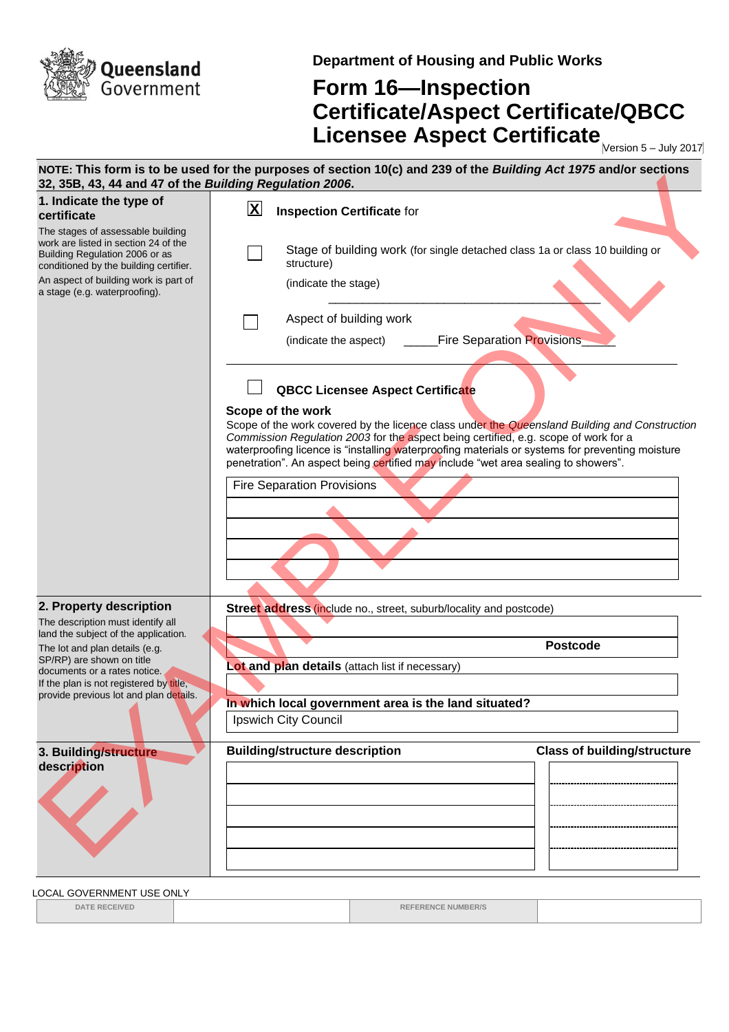

**Department of Housing and Public Works**

## **Form 16—Inspection Certificate/Aspect Certificate/QBCC Licensee Aspect Certificate** Mersion 5-July 2017

| 32, 35B, 43, 44 and 47 of the Building Regulation 2006.                                                                                               |                         | NOTE: This form is to be used for the purposes of section 10(c) and 239 of the Building Act 1975 and/or sections                                                                                                                                                                                                                                                                                   |
|-------------------------------------------------------------------------------------------------------------------------------------------------------|-------------------------|----------------------------------------------------------------------------------------------------------------------------------------------------------------------------------------------------------------------------------------------------------------------------------------------------------------------------------------------------------------------------------------------------|
| 1. Indicate the type of<br>certificate                                                                                                                | $\overline{\mathbf{X}}$ | <b>Inspection Certificate for</b>                                                                                                                                                                                                                                                                                                                                                                  |
| The stages of assessable building<br>work are listed in section 24 of the<br>Building Regulation 2006 or as<br>conditioned by the building certifier. |                         | Stage of building work (for single detached class 1a or class 10 building or<br>structure)                                                                                                                                                                                                                                                                                                         |
| An aspect of building work is part of<br>a stage (e.g. waterproofing).                                                                                |                         | (indicate the stage)                                                                                                                                                                                                                                                                                                                                                                               |
|                                                                                                                                                       |                         | Aspect of building work                                                                                                                                                                                                                                                                                                                                                                            |
|                                                                                                                                                       |                         | <b>Fire Separation Provisions</b><br>(indicate the aspect)                                                                                                                                                                                                                                                                                                                                         |
|                                                                                                                                                       |                         | <b>QBCC Licensee Aspect Certificate</b>                                                                                                                                                                                                                                                                                                                                                            |
|                                                                                                                                                       |                         | Scope of the work<br>Scope of the work covered by the licence class under the Queensland Building and Construction<br>Commission Regulation 2003 for the aspect being certified, e.g. scope of work for a<br>waterproofing licence is "installing waterproofing materials or systems for preventing moisture<br>penetration". An aspect being certified may include "wet area sealing to showers". |
|                                                                                                                                                       |                         | <b>Fire Separation Provisions</b>                                                                                                                                                                                                                                                                                                                                                                  |
|                                                                                                                                                       |                         |                                                                                                                                                                                                                                                                                                                                                                                                    |
| 2. Property description                                                                                                                               |                         | Street address (include no., street, suburb/locality and postcode)                                                                                                                                                                                                                                                                                                                                 |
| The description must identify all<br>land the subject of the application.                                                                             |                         |                                                                                                                                                                                                                                                                                                                                                                                                    |
| The lot and plan details (e.g.<br>SP/RP) are shown on title                                                                                           |                         | <b>Postcode</b><br>Lot and plan details (attach list if necessary)                                                                                                                                                                                                                                                                                                                                 |
| documents or a rates notice.<br>If the plan is not registered by title,                                                                               |                         |                                                                                                                                                                                                                                                                                                                                                                                                    |
| provide previous lot and plan details.                                                                                                                |                         | In which local government area is the land situated?                                                                                                                                                                                                                                                                                                                                               |
|                                                                                                                                                       |                         | Ipswich City Council                                                                                                                                                                                                                                                                                                                                                                               |
| 3. Building/structure<br>description                                                                                                                  |                         | <b>Building/structure description</b><br><b>Class of building/structure</b>                                                                                                                                                                                                                                                                                                                        |
|                                                                                                                                                       |                         |                                                                                                                                                                                                                                                                                                                                                                                                    |

LOCAL GOVERNMENT USE ONLY

**DATE RECEIVED REFERENCE NUMBER/S**